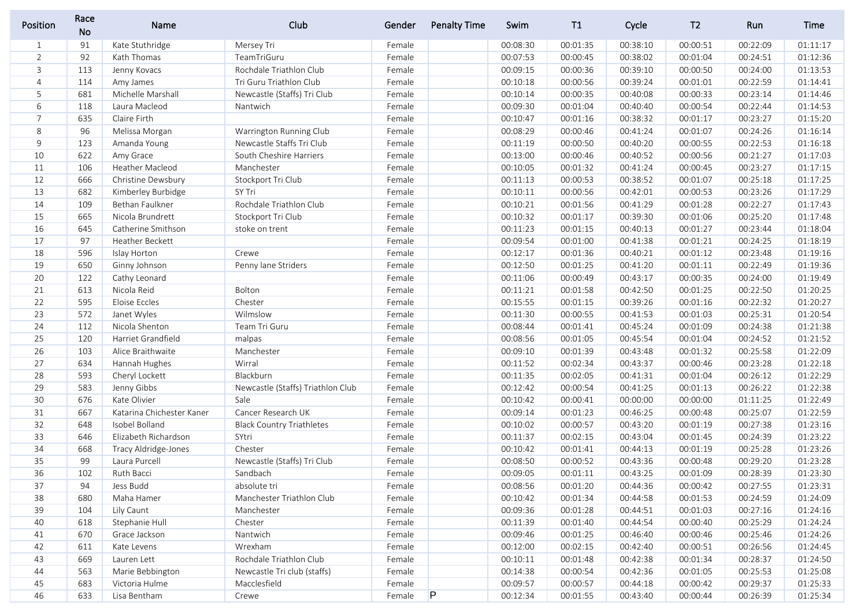| Position       | Race<br>No | Name                      | Club                              | Gender | <b>Penalty Time</b> | Swim     | T1       | Cycle    | T <sub>2</sub> | Run      | Time     |
|----------------|------------|---------------------------|-----------------------------------|--------|---------------------|----------|----------|----------|----------------|----------|----------|
| $\mathbf{1}$   | 91         | Kate Stuthridge           | Mersey Tri                        | Female |                     | 00:08:30 | 00:01:35 | 00:38:10 | 00:00:51       | 00:22:09 | 01:11:17 |
| $\overline{2}$ | 92         | Kath Thomas               | TeamTriGuru                       | Female |                     | 00:07:53 | 00:00:45 | 00:38:02 | 00:01:04       | 00:24:51 | 01:12:36 |
| 3              | 113        | Jenny Kovacs              | Rochdale Triathlon Club           | Female |                     | 00:09:15 | 00:00:36 | 00:39:10 | 00:00:50       | 00:24:00 | 01:13:53 |
| 4              | 114        | Amy James                 | Tri Guru Triathlon Club           | Female |                     | 00:10:18 | 00:00:56 | 00:39:24 | 00:01:01       | 00:22:59 | 01:14:41 |
| 5              | 681        | Michelle Marshall         | Newcastle (Staffs) Tri Club       | Female |                     | 00:10:14 | 00:00:35 | 00:40:08 | 00:00:33       | 00:23:14 | 01:14:46 |
| 6              | 118        | Laura Macleod             | Nantwich                          | Female |                     | 00:09:30 | 00:01:04 | 00:40:40 | 00:00:54       | 00:22:44 | 01:14:53 |
| $\overline{7}$ | 635        | Claire Firth              |                                   | Female |                     | 00:10:47 | 00:01:16 | 00:38:32 | 00:01:17       | 00:23:27 | 01:15:20 |
| 8              | 96         | Melissa Morgan            | Warrington Running Club           | Female |                     | 00:08:29 | 00:00:46 | 00:41:24 | 00:01:07       | 00:24:26 | 01:16:14 |
| 9              | 123        | Amanda Young              | Newcastle Staffs Tri Club         | Female |                     | 00:11:19 | 00:00:50 | 00:40:20 | 00:00:55       | 00:22:53 | 01:16:18 |
| 10             | 622        | Amy Grace                 | South Cheshire Harriers           | Female |                     | 00:13:00 | 00:00:46 | 00:40:52 | 00:00:56       | 00:21:27 | 01:17:03 |
| 11             | 106        | Heather Macleod           | Manchester                        | Female |                     | 00:10:05 | 00:01:32 | 00:41:24 | 00:00:45       | 00:23:27 | 01:17:15 |
| 12             | 666        | Christine Dewsbury        | Stockport Tri Club                | Female |                     | 00:11:13 | 00:00:53 | 00:38:52 | 00:01:07       | 00:25:18 | 01:17:25 |
| 13             | 682        | Kimberley Burbidge        | SY Tri                            | Female |                     | 00:10:11 | 00:00:56 | 00:42:01 | 00:00:53       | 00:23:26 | 01:17:29 |
| 14             | 109        | Bethan Faulkner           | Rochdale Triathlon Club           | Female |                     | 00:10:21 | 00:01:56 | 00:41:29 | 00:01:28       | 00:22:27 | 01:17:43 |
| 15             | 665        | Nicola Brundrett          | Stockport Tri Club                | Female |                     | 00:10:32 | 00:01:17 | 00:39:30 | 00:01:06       | 00:25:20 | 01:17:48 |
| 16             | 645        | Catherine Smithson        | stoke on trent                    | Female |                     | 00:11:23 | 00:01:15 | 00:40:13 | 00:01:27       | 00:23:44 | 01:18:04 |
| 17             | 97         | Heather Beckett           |                                   | Female |                     | 00:09:54 | 00:01:00 | 00:41:38 | 00:01:21       | 00:24:25 | 01:18:19 |
| 18             | 596        | Islay Horton              | Crewe                             | Female |                     | 00:12:17 | 00:01:36 | 00:40:21 | 00:01:12       | 00:23:48 | 01:19:16 |
| 19             | 650        | Ginny Johnson             | Penny lane Striders               | Female |                     | 00:12:50 | 00:01:25 | 00:41:20 | 00:01:11       | 00:22:49 | 01:19:36 |
| 20             | 122        | Cathy Leonard             |                                   | Female |                     | 00:11:06 | 00:00:49 | 00:43:17 | 00:00:35       | 00:24:00 | 01:19:49 |
| 21             | 613        | Nicola Reid               | Bolton                            | Female |                     | 00:11:21 | 00:01:58 | 00:42:50 | 00:01:25       | 00:22:50 | 01:20:25 |
| 22             | 595        | Eloise Eccles             | Chester                           | Female |                     | 00:15:55 | 00:01:15 | 00:39:26 | 00:01:16       | 00:22:32 | 01:20:27 |
| 23             | 572        | Janet Wyles               | Wilmslow                          | Female |                     | 00:11:30 | 00:00:55 | 00:41:53 | 00:01:03       | 00:25:31 | 01:20:54 |
| 24             | 112        | Nicola Shenton            | Team Tri Guru                     | Female |                     | 00:08:44 | 00:01:41 | 00:45:24 | 00:01:09       | 00:24:38 | 01:21:38 |
| 25             | 120        | Harriet Grandfield        | malpas                            | Female |                     | 00:08:56 | 00:01:05 | 00:45:54 | 00:01:04       | 00:24:52 | 01:21:52 |
| 26             | 103        | Alice Braithwaite         | Manchester                        | Female |                     | 00:09:10 | 00:01:39 | 00:43:48 | 00:01:32       | 00:25:58 | 01:22:09 |
| 27             | 634        | Hannah Hughes             | Wirral                            | Female |                     | 00:11:52 | 00:02:34 | 00:43:37 | 00:00:46       | 00:23:28 | 01:22:18 |
| 28             | 593        | Cheryl Lockett            | Blackburn                         | Female |                     | 00:11:35 | 00:02:05 | 00:41:31 | 00:01:04       | 00:26:12 | 01:22:29 |
| 29             | 583        | Jenny Gibbs               | Newcastle (Staffs) Triathlon Club | Female |                     | 00:12:42 | 00:00:54 | 00:41:25 | 00:01:13       | 00:26:22 | 01:22:38 |
| 30             | 676        | Kate Olivier              | Sale                              | Female |                     | 00:10:42 | 00:00:41 | 00:00:00 | 00:00:00       | 01:11:25 | 01:22:49 |
| 31             | 667        | Katarina Chichester Kaner | Cancer Research UK                | Female |                     | 00:09:14 | 00:01:23 | 00:46:25 | 00:00:48       | 00:25:07 | 01:22:59 |
| 32             | 648        | Isobel Bolland            | <b>Black Country Triathletes</b>  | Female |                     | 00:10:02 | 00:00:57 | 00:43:20 | 00:01:19       | 00:27:38 | 01:23:16 |
| 33             | 646        | Elizabeth Richardson      | SYtri                             | Female |                     | 00:11:37 | 00:02:15 | 00:43:04 | 00:01:45       | 00:24:39 | 01:23:22 |
| 34             | 668        | Tracy Aldridge-Jones      | Chester                           | Female |                     | 00:10:42 | 00:01:41 | 00:44:13 | 00:01:19       | 00:25:28 | 01:23:26 |
| 35             | 99         | Laura Purcell             | Newcastle (Staffs) Tri Club       | Female |                     | 00:08:50 | 00:00:52 | 00:43:36 | 00:00:48       | 00:29:20 | 01:23:28 |
| 36             | 102        | Ruth Bacci                | Sandbach                          | Female |                     | 00:09:05 | 00:01:11 | 00:43:25 | 00:01:09       | 00:28:39 | 01:23:30 |
| 37             | 94         | Jess Budd                 | absolute tri                      | Female |                     | 00:08:56 | 00:01:20 | 00:44:36 | 00:00:42       | 00:27:55 | 01:23:31 |
| 38             | 680        | Maha Hamer                | Manchester Triathlon Club         | Female |                     | 00:10:42 | 00:01:34 | 00:44:58 | 00:01:53       | 00:24:59 | 01:24:09 |
| 39             | 104        | Lily Caunt                | Manchester                        | Female |                     | 00:09:36 | 00:01:28 | 00:44:51 | 00:01:03       | 00:27:16 | 01:24:16 |
| 40             | 618        | Stephanie Hull            | Chester                           | Female |                     | 00:11:39 | 00:01:40 | 00:44:54 | 00:00:40       | 00:25:29 | 01:24:24 |
| 41             | 670        | Grace Jackson             | Nantwich                          | Female |                     | 00:09:46 | 00:01:25 | 00:46:40 | 00:00:46       | 00:25:46 | 01:24:26 |
| 42             | 611        | Kate Levens               | Wrexham                           | Female |                     | 00:12:00 | 00:02:15 | 00:42:40 | 00:00:51       | 00:26:56 | 01:24:45 |
| 43             | 669        | Lauren Lett               | Rochdale Triathlon Club           | Female |                     | 00:10:11 | 00:01:48 | 00:42:38 | 00:01:34       | 00:28:37 | 01:24:50 |
| 44             | 563        | Marie Bebbington          | Newcastle Tri club (staffs)       | Female |                     | 00:14:38 | 00:00:54 | 00:42:36 | 00:01:05       | 00:25:53 | 01:25:08 |
| 45             | 683        | Victoria Hulme            | Macclesfield                      | Female |                     | 00:09:57 | 00:00:57 | 00:44:18 | 00:00:42       | 00:29:37 | 01:25:33 |
| 46             | 633        | Lisa Bentham              | Crewe                             | Female | $\mathsf{P}$        | 00:12:34 | 00:01:55 | 00:43:40 | 00:00:44       | 00:26:39 | 01:25:34 |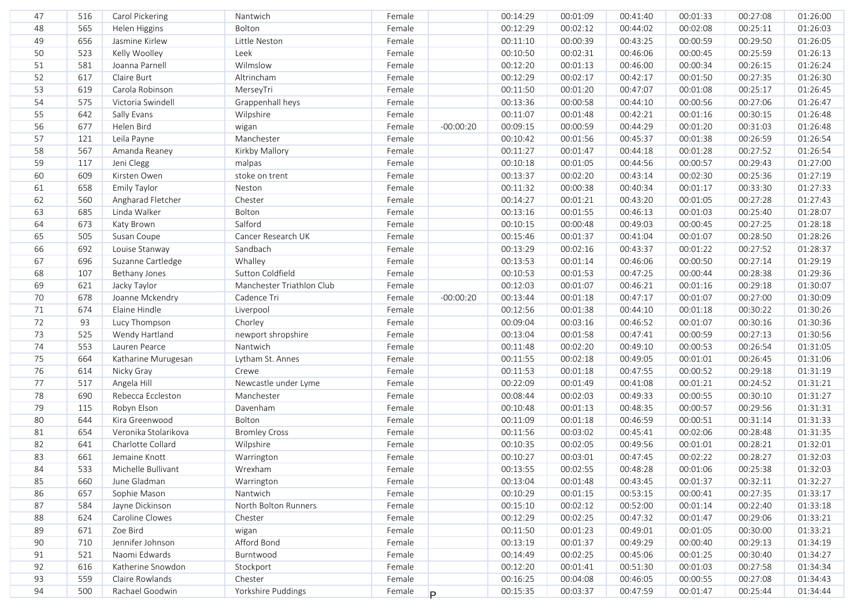| 47 | 516 | Carol Pickering      | Nantwich                  | Female |             | 00:14:29 | 00:01:09 | 00:41:40 | 00:01:33 | 00:27:08 | 01:26:00 |
|----|-----|----------------------|---------------------------|--------|-------------|----------|----------|----------|----------|----------|----------|
| 48 | 565 | Helen Higgins        | Bolton                    | Female |             | 00:12:29 | 00:02:12 | 00:44:02 | 00:02:08 | 00:25:11 | 01:26:03 |
| 49 | 656 | Jasmine Kirlew       | Little Neston             | Female |             | 00:11:10 | 00:00:39 | 00:43:25 | 00:00:59 | 00:29:50 | 01:26:05 |
| 50 | 523 | Kelly Woolley        | Leek                      | Female |             | 00:10:50 | 00:02:31 | 00:46:06 | 00:00:45 | 00:25:59 | 01:26:13 |
| 51 | 581 | Joanna Parnell       | Wilmslow                  | Female |             | 00:12:20 | 00:01:13 | 00:46:00 | 00:00:34 | 00:26:15 | 01:26:24 |
| 52 | 617 | Claire Burt          | Altrincham                | Female |             | 00:12:29 | 00:02:17 | 00:42:17 | 00:01:50 | 00:27:35 | 01:26:30 |
| 53 | 619 | Carola Robinson      | MerseyTri                 | Female |             | 00:11:50 | 00:01:20 | 00:47:07 | 00:01:08 | 00:25:17 | 01:26:45 |
| 54 | 575 | Victoria Swindell    | Grappenhall heys          | Female |             | 00:13:36 | 00:00:58 | 00:44:10 | 00:00:56 | 00:27:06 | 01:26:47 |
| 55 | 642 | Sally Evans          | Wilpshire                 | Female |             | 00:11:07 | 00:01:48 | 00:42:21 | 00:01:16 | 00:30:15 | 01:26:48 |
| 56 | 677 | Helen Bird           | wigan                     | Female | $-00:00:20$ | 00:09:15 | 00:00:59 | 00:44:29 | 00:01:20 | 00:31:03 | 01:26:48 |
| 57 | 121 | Leila Payne          | Manchester                | Female |             | 00:10:42 | 00:01:56 | 00:45:37 | 00:01:38 | 00:26:59 | 01:26:54 |
| 58 | 567 | Amanda Reaney        | Kirkby Mallory            | Female |             | 00:11:27 | 00:01:47 | 00:44:18 | 00:01:28 | 00:27:52 | 01:26:54 |
| 59 | 117 | Jeni Clegg           | malpas                    | Female |             | 00:10:18 | 00:01:05 | 00:44:56 | 00:00:57 | 00:29:43 | 01:27:00 |
| 60 | 609 | Kirsten Owen         | stoke on trent            | Female |             | 00:13:37 | 00:02:20 | 00:43:14 | 00:02:30 | 00:25:36 | 01:27:19 |
| 61 | 658 | Emily Taylor         | Neston                    | Female |             | 00:11:32 | 00:00:38 | 00:40:34 | 00:01:17 | 00:33:30 | 01:27:33 |
| 62 | 560 | Angharad Fletcher    | Chester                   | Female |             | 00:14:27 | 00:01:21 | 00:43:20 | 00:01:05 | 00:27:28 | 01:27:43 |
| 63 | 685 | Linda Walker         | Bolton                    | Female |             | 00:13:16 | 00:01:55 | 00:46:13 | 00:01:03 | 00:25:40 | 01:28:07 |
| 64 | 673 | Katy Brown           | Salford                   | Female |             | 00:10:15 | 00:00:48 | 00:49:03 | 00:00:45 | 00:27:25 | 01:28:18 |
| 65 | 505 | Susan Coupe          | Cancer Research UK        | Female |             | 00:15:46 | 00:01:37 | 00:41:04 | 00:01:07 | 00:28:50 | 01:28:26 |
| 66 | 692 | Louise Stanway       | Sandbach                  | Female |             | 00:13:29 | 00:02:16 | 00:43:37 | 00:01:22 | 00:27:52 | 01:28:37 |
| 67 | 696 | Suzanne Cartledge    | Whalley                   | Female |             | 00:13:53 | 00:01:14 | 00:46:06 | 00:00:50 | 00:27:14 | 01:29:19 |
| 68 | 107 | Bethany Jones        | Sutton Coldfield          | Female |             | 00:10:53 | 00:01:53 | 00:47:25 | 00:00:44 | 00:28:38 | 01:29:36 |
| 69 | 621 | Jacky Taylor         | Manchester Triathlon Club | Female |             | 00:12:03 | 00:01:07 | 00:46:21 | 00:01:16 | 00:29:18 | 01:30:07 |
| 70 | 678 | Joanne Mckendry      | Cadence Tri               | Female | $-00:00:20$ | 00:13:44 | 00:01:18 | 00:47:17 | 00:01:07 | 00:27:00 | 01:30:09 |
| 71 | 674 | Elaine Hindle        | Liverpool                 | Female |             | 00:12:56 | 00:01:38 | 00:44:10 | 00:01:18 | 00:30:22 | 01:30:26 |
| 72 | 93  | Lucy Thompson        | Chorley                   | Female |             | 00:09:04 | 00:03:16 | 00:46:52 | 00:01:07 | 00:30:16 | 01:30:36 |
| 73 | 525 | Wendy Hartland       | newport shropshire        | Female |             | 00:13:04 | 00:01:58 | 00:47:41 | 00:00:59 | 00:27:13 | 01:30:56 |
| 74 | 553 | Lauren Pearce        | Nantwich                  | Female |             | 00:11:48 | 00:02:20 | 00:49:10 | 00:00:53 | 00:26:54 | 01:31:05 |
| 75 | 664 | Katharine Murugesan  | Lytham St. Annes          | Female |             | 00:11:55 | 00:02:18 | 00:49:05 | 00:01:01 | 00:26:45 | 01:31:06 |
| 76 | 614 | Nicky Gray           | Crewe                     | Female |             | 00:11:53 | 00:01:18 | 00:47:55 | 00:00:52 | 00:29:18 | 01:31:19 |
| 77 | 517 | Angela Hill          | Newcastle under Lyme      | Female |             | 00:22:09 | 00:01:49 | 00:41:08 | 00:01:21 | 00:24:52 | 01:31:21 |
| 78 | 690 | Rebecca Eccleston    | Manchester                | Female |             | 00:08:44 | 00:02:03 | 00:49:33 | 00:00:55 | 00:30:10 | 01:31:27 |
| 79 | 115 | Robyn Elson          | Davenham                  | Female |             | 00:10:48 | 00:01:13 | 00:48:35 | 00:00:57 | 00:29:56 | 01:31:31 |
| 80 | 644 | Kira Greenwood       | Bolton                    | Female |             | 00:11:09 | 00:01:18 | 00:46:59 | 00:00:51 | 00:31:14 | 01:31:33 |
| 81 | 654 | Veronika Stolarikova | <b>Bromley Cross</b>      | Female |             | 00:11:56 | 00:03:02 | 00:45:41 | 00:02:06 | 00:28:48 | 01:31:35 |
| 82 | 641 | Charlotte Collard    | Wilpshire                 | Female |             | 00:10:35 | 00:02:05 | 00:49:56 | 00:01:01 | 00:28:21 | 01:32:01 |
| 83 | 661 | Jemaine Knott        | Warrington                | Female |             | 00:10:27 | 00:03:01 | 00:47:45 | 00:02:22 | 00:28:27 | 01:32:03 |
| 84 | 533 | Michelle Bullivant   | Wrexham                   | Female |             | 00:13:55 | 00:02:55 | 00:48:28 | 00:01:06 | 00:25:38 | 01:32:03 |
| 85 | 660 | June Gladman         | Warrington                | Female |             | 00:13:04 | 00:01:48 | 00:43:45 | 00:01:37 | 00:32:11 | 01:32:27 |
| 86 | 657 | Sophie Mason         | Nantwich                  | Female |             | 00:10:29 | 00:01:15 | 00:53:15 | 00:00:41 | 00:27:35 | 01:33:17 |
| 87 | 584 | Jayne Dickinson      | North Bolton Runners      | Female |             | 00:15:10 | 00:02:12 | 00:52:00 | 00:01:14 | 00:22:40 | 01:33:18 |
| 88 | 624 | Caroline Clowes      | Chester                   | Female |             | 00:12:29 | 00:02:25 | 00:47:32 | 00:01:47 | 00:29:06 | 01:33:21 |
| 89 | 671 | Zoe Bird             | wigan                     | Female |             | 00:11:50 | 00:01:23 | 00:49:01 | 00:01:05 | 00:30:00 | 01:33:21 |
| 90 | 710 | Jennifer Johnson     | Afford Bond               | Female |             | 00:13:19 | 00:01:37 | 00:49:29 | 00:00:40 | 00:29:13 | 01:34:19 |
| 91 | 521 | Naomi Edwards        | Burntwood                 | Female |             | 00:14:49 | 00:02:25 | 00:45:06 | 00:01:25 | 00:30:40 | 01:34:27 |
| 92 | 616 | Katherine Snowdon    | Stockport                 | Female |             | 00:12:20 | 00:01:41 | 00:51:30 | 00:01:03 | 00:27:58 | 01:34:34 |
| 93 | 559 | Claire Rowlands      | Chester                   | Female |             | 00:16:25 | 00:04:08 | 00:46:05 | 00:00:55 | 00:27:08 | 01:34:43 |
| 94 | 500 | Rachael Goodwin      | Yorkshire Puddings        | Female | P.          | 00:15:35 | 00:03:37 | 00:47:59 | 00:01:47 | 00:25:44 | 01:34:44 |
|    |     |                      |                           |        |             |          |          |          |          |          |          |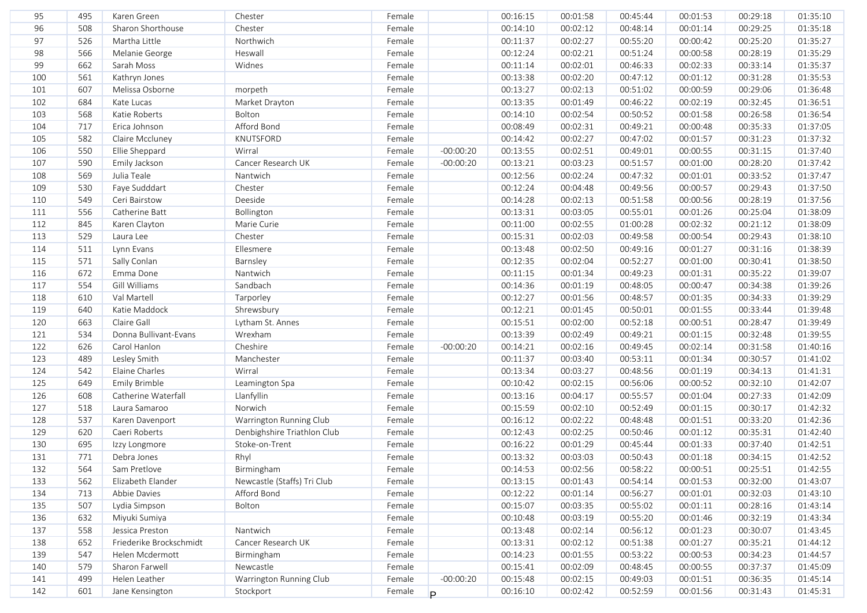| 95  | 495 | Karen Green             | Chester                     | Female |             | 00:16:15 | 00:01:58 | 00:45:44 | 00:01:53 | 00:29:18 | 01:35:10 |
|-----|-----|-------------------------|-----------------------------|--------|-------------|----------|----------|----------|----------|----------|----------|
| 96  | 508 | Sharon Shorthouse       | Chester                     | Female |             | 00:14:10 | 00:02:12 | 00:48:14 | 00:01:14 | 00:29:25 | 01:35:18 |
| 97  | 526 | Martha Little           | Northwich                   | Female |             | 00:11:37 | 00:02:27 | 00:55:20 | 00:00:42 | 00:25:20 | 01:35:27 |
| 98  | 566 | Melanie George          | Heswall                     | Female |             | 00:12:24 | 00:02:21 | 00:51:24 | 00:00:58 | 00:28:19 | 01:35:29 |
| 99  | 662 | Sarah Moss              | Widnes                      | Female |             | 00:11:14 | 00:02:01 | 00:46:33 | 00:02:33 | 00:33:14 | 01:35:37 |
| 100 | 561 | Kathryn Jones           |                             | Female |             | 00:13:38 | 00:02:20 | 00:47:12 | 00:01:12 | 00:31:28 | 01:35:53 |
| 101 | 607 | Melissa Osborne         | morpeth                     | Female |             | 00:13:27 | 00:02:13 | 00:51:02 | 00:00:59 | 00:29:06 | 01:36:48 |
| 102 | 684 | Kate Lucas              | Market Drayton              | Female |             | 00:13:35 | 00:01:49 | 00:46:22 | 00:02:19 | 00:32:45 | 01:36:51 |
| 103 | 568 | Katie Roberts           | Bolton                      | Female |             | 00:14:10 | 00:02:54 | 00:50:52 | 00:01:58 | 00:26:58 | 01:36:54 |
| 104 | 717 | Erica Johnson           | Afford Bond                 | Female |             | 00:08:49 | 00:02:31 | 00:49:21 | 00:00:48 | 00:35:33 | 01:37:05 |
| 105 | 582 | Claire Mccluney         | KNUTSFORD                   | Female |             | 00:14:42 | 00:02:27 | 00:47:02 | 00:01:57 | 00:31:23 | 01:37:32 |
| 106 | 550 | Ellie Sheppard          | Wirral                      | Female | $-00:00:20$ | 00:13:55 | 00:02:51 | 00:49:01 | 00:00:55 | 00:31:15 | 01:37:40 |
| 107 | 590 | Emily Jackson           | Cancer Research UK          | Female | $-00:00:20$ | 00:13:21 | 00:03:23 | 00:51:57 | 00:01:00 | 00:28:20 | 01:37:42 |
| 108 | 569 | Julia Teale             | Nantwich                    | Female |             | 00:12:56 | 00:02:24 | 00:47:32 | 00:01:01 | 00:33:52 | 01:37:47 |
| 109 | 530 | Faye Sudddart           | Chester                     | Female |             | 00:12:24 | 00:04:48 | 00:49:56 | 00:00:57 | 00:29:43 | 01:37:50 |
| 110 | 549 | Ceri Bairstow           | Deeside                     | Female |             | 00:14:28 | 00:02:13 | 00:51:58 | 00:00:56 | 00:28:19 | 01:37:56 |
| 111 | 556 | Catherine Batt          | Bollington                  | Female |             | 00:13:31 | 00:03:05 | 00:55:01 | 00:01:26 | 00:25:04 | 01:38:09 |
| 112 | 845 | Karen Clayton           | Marie Curie                 | Female |             | 00:11:00 | 00:02:55 | 01:00:28 | 00:02:32 | 00:21:12 | 01:38:09 |
| 113 | 529 | Laura Lee               | Chester                     | Female |             | 00:15:31 | 00:02:03 | 00:49:58 | 00:00:54 | 00:29:43 | 01:38:10 |
| 114 | 511 | Lynn Evans              | Ellesmere                   | Female |             | 00:13:48 | 00:02:50 | 00:49:16 | 00:01:27 | 00:31:16 | 01:38:39 |
| 115 | 571 | Sally Conlan            | Barnsley                    | Female |             | 00:12:35 | 00:02:04 | 00:52:27 | 00:01:00 | 00:30:41 | 01:38:50 |
| 116 | 672 | Emma Done               | Nantwich                    | Female |             | 00:11:15 | 00:01:34 | 00:49:23 | 00:01:31 | 00:35:22 | 01:39:07 |
| 117 | 554 | Gill Williams           | Sandbach                    | Female |             | 00:14:36 | 00:01:19 | 00:48:05 | 00:00:47 | 00:34:38 | 01:39:26 |
| 118 | 610 | Val Martell             | Tarporley                   | Female |             | 00:12:27 | 00:01:56 | 00:48:57 | 00:01:35 | 00:34:33 | 01:39:29 |
| 119 | 640 | Katie Maddock           | Shrewsbury                  | Female |             | 00:12:21 | 00:01:45 | 00:50:01 | 00:01:55 | 00:33:44 | 01:39:48 |
| 120 | 663 | Claire Gall             | Lytham St. Annes            | Female |             | 00:15:51 | 00:02:00 | 00:52:18 | 00:00:51 | 00:28:47 | 01:39:49 |
| 121 | 534 | Donna Bullivant-Evans   | Wrexham                     | Female |             | 00:13:39 | 00:02:49 | 00:49:21 | 00:01:15 | 00:32:48 | 01:39:55 |
| 122 | 626 | Carol Hanlon            | Cheshire                    | Female | $-00:00:20$ | 00:14:21 | 00:02:16 | 00:49:45 | 00:02:14 | 00:31:58 | 01:40:16 |
| 123 | 489 | Lesley Smith            | Manchester                  | Female |             | 00:11:37 | 00:03:40 | 00:53:11 | 00:01:34 | 00:30:57 | 01:41:02 |
| 124 | 542 | Elaine Charles          | Wirral                      | Female |             | 00:13:34 | 00:03:27 | 00:48:56 | 00:01:19 | 00:34:13 | 01:41:31 |
| 125 | 649 | Emily Brimble           | Leamington Spa              | Female |             | 00:10:42 | 00:02:15 | 00:56:06 | 00:00:52 | 00:32:10 | 01:42:07 |
| 126 | 608 | Catherine Waterfall     | Llanfyllin                  | Female |             | 00:13:16 | 00:04:17 | 00:55:57 | 00:01:04 | 00:27:33 | 01:42:09 |
| 127 | 518 | Laura Samaroo           | Norwich                     | Female |             | 00:15:59 | 00:02:10 | 00:52:49 | 00:01:15 | 00:30:17 | 01:42:32 |
| 128 | 537 | Karen Davenport         | Warrington Running Club     | Female |             | 00:16:12 | 00:02:22 | 00:48:48 | 00:01:51 | 00:33:20 | 01:42:36 |
| 129 | 620 | Caeri Roberts           | Denbighshire Triathlon Club | Female |             | 00:12:43 | 00:02:25 | 00:50:46 | 00:01:12 | 00:35:31 | 01:42:40 |
| 130 | 695 | Izzy Longmore           | Stoke-on-Trent              | Female |             | 00:16:22 | 00:01:29 | 00:45:44 | 00:01:33 | 00:37:40 | 01:42:51 |
| 131 | 771 | Debra Jones             | Rhyl                        | Female |             | 00:13:32 | 00:03:03 | 00:50:43 | 00:01:18 | 00:34:15 | 01:42:52 |
| 132 | 564 | Sam Pretlove            | Birmingham                  | Female |             | 00:14:53 | 00:02:56 | 00:58:22 | 00:00:51 | 00:25:51 | 01:42:55 |
| 133 | 562 | Elizabeth Elander       | Newcastle (Staffs) Tri Club | Female |             | 00:13:15 | 00:01:43 | 00:54:14 | 00:01:53 | 00:32:00 | 01:43:07 |
| 134 | 713 | Abbie Davies            | Afford Bond                 | Female |             | 00:12:22 | 00:01:14 | 00:56:27 | 00:01:01 | 00:32:03 | 01:43:10 |
| 135 | 507 | Lydia Simpson           | Bolton                      | Female |             | 00:15:07 | 00:03:35 | 00:55:02 | 00:01:11 | 00:28:16 | 01:43:14 |
| 136 | 632 | Miyuki Sumiya           |                             | Female |             | 00:10:48 | 00:03:19 | 00:55:20 | 00:01:46 | 00:32:19 | 01:43:34 |
| 137 | 558 | Jessica Preston         | Nantwich                    | Female |             | 00:13:48 | 00:02:14 | 00:56:12 | 00:01:23 | 00:30:07 | 01:43:45 |
| 138 | 652 | Friederike Brockschmidt | Cancer Research UK          | Female |             | 00:13:31 | 00:02:12 | 00:51:38 | 00:01:27 | 00:35:21 | 01:44:12 |
| 139 | 547 | Helen Mcdermott         | Birmingham                  | Female |             | 00:14:23 | 00:01:55 | 00:53:22 | 00:00:53 | 00:34:23 | 01:44:57 |
| 140 | 579 | Sharon Farwell          | Newcastle                   | Female |             | 00:15:41 | 00:02:09 | 00:48:45 | 00:00:55 | 00:37:37 | 01:45:09 |
| 141 | 499 | Helen Leather           | Warrington Running Club     | Female | $-00:00:20$ | 00:15:48 | 00:02:15 | 00:49:03 | 00:01:51 | 00:36:35 | 01:45:14 |
| 142 | 601 | Jane Kensington         | Stockport                   | Female | P           | 00:16:10 | 00:02:42 | 00:52:59 | 00:01:56 | 00:31:43 | 01:45:31 |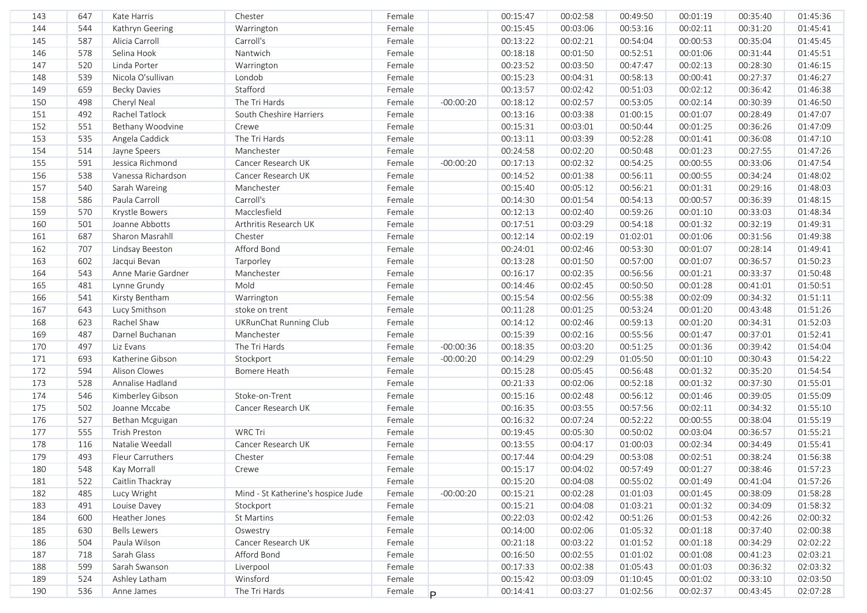| 144<br>544<br>Female<br>00:15:45<br>00:03:06<br>00:53:16<br>00:02:11<br>00:31:20<br>Kathryn Geering<br>Warrington<br>145<br>587<br>Female<br>Alicia Carroll<br>Carroll's<br>00:13:22<br>00:02:21<br>00:54:04<br>00:00:53<br>00:35:04<br>146<br>578<br>Nantwich<br>Female<br>Selina Hook<br>00:18:18<br>00:01:50<br>00:52:51<br>00:01:06<br>00:31:44<br>147<br>Female<br>520<br>Linda Porter<br>00:23:52<br>00:03:50<br>00:47:47<br>00:28:30<br>Warrington<br>00:02:13<br>539<br>Female<br>148<br>Nicola O'sullivan<br>Londob<br>00:15:23<br>00:04:31<br>00:58:13<br>00:27:37<br>00:00:41<br>Stafford<br>659<br>149<br><b>Becky Davies</b><br>Female<br>00:13:57<br>00:02:42<br>00:51:03<br>00:36:42<br>00:02:12<br>150<br>498<br>Cheryl Neal<br>The Tri Hards<br>Female<br>00:02:57<br>00:30:39<br>$-00:00:20$<br>00:18:12<br>00:53:05<br>00:02:14<br>151<br>492<br>Rachel Tatlock<br>Female<br>South Cheshire Harriers<br>00:13:16<br>00:03:38<br>01:00:15<br>00:01:07<br>00:28:49<br>152<br>551<br>Bethany Woodvine<br>Female<br>Crewe<br>00:15:31<br>00:03:01<br>00:50:44<br>00:01:25<br>00:36:26<br>535<br>The Tri Hards<br>153<br>Angela Caddick<br>Female<br>00:03:39<br>00:52:28<br>00:36:08<br>00:13:11<br>00:01:41<br>154<br>514<br>Female<br>00:02:20<br>00:50:48<br>00:27:55<br>Jayne Speers<br>Manchester<br>00:24:58<br>00:01:23<br>591<br>155<br>Jessica Richmond<br>Cancer Research UK<br>Female<br>00:17:13<br>00:02:32<br>00:54:25<br>00:00:55<br>00:33:06<br>$-00:00:20$<br>538<br>156<br>Vanessa Richardson<br>Cancer Research UK<br>Female<br>00:14:52<br>00:01:38<br>00:56:11<br>00:00:55<br>00:34:24<br>157<br>540<br>Manchester<br>Female<br>00:15:40<br>00:05:12<br>00:56:21<br>00:01:31<br>00:29:16<br>Sarah Wareing<br>586<br>Carroll's<br>158<br>Paula Carroll<br>Female<br>00:14:30<br>00:01:54<br>00:54:13<br>00:00:57<br>00:36:39<br>Macclesfield<br>159<br>570<br>Krystle Bowers<br>Female<br>00:12:13<br>00:02:40<br>00:59:26<br>00:01:10<br>00:33:03<br>501<br>Joanne Abbotts<br>160<br>Arthritis Research UK<br>Female<br>00:17:51<br>00:03:29<br>00:54:18<br>00:01:32<br>00:32:19<br>687<br>Sharon Masrahll<br>Chester<br>Female<br>00:12:14<br>00:02:19<br>01:02:01<br>00:01:06<br>00:31:56<br>161<br>Afford Bond<br>162<br>707<br>Female<br>00:24:01<br>00:02:46<br>00:53:30<br>00:01:07<br>Lindsay Beeston<br>00:28:14<br>602<br>163<br>Jacqui Bevan<br>Tarporley<br>Female<br>00:13:28<br>00:01:50<br>00:57:00<br>00:01:07<br>00:36:57<br>543<br>Manchester<br>Female<br>00:16:17<br>00:02:35<br>00:56:56<br>00:01:21<br>164<br>Anne Marie Gardner<br>00:33:37<br>Mold<br>165<br>481<br>Female<br>00:14:46<br>00:02:45<br>00:50:50<br>00:01:28<br>Lynne Grundy<br>00:41:01<br>166<br>541<br>Female<br>00:15:54<br>00:02:56<br>00:55:38<br>00:02:09<br>00:34:32<br>Kirsty Bentham<br>Warrington<br>167<br>643<br>stoke on trent<br>Female<br>00:11:28<br>00:01:25<br>00:53:24<br>00:01:20<br>Lucy Smithson<br>00:43:48<br>168<br>623<br>Rachel Shaw<br><b>UKRunChat Running Club</b><br>Female<br>00:14:12<br>00:02:46<br>00:59:13<br>00:01:20<br>00:34:31<br>169<br>487<br>Darnel Buchanan<br>Manchester<br>00:15:39<br>00:01:47<br>Female<br>00:02:16<br>00:55:56<br>00:37:01<br>497<br>170<br>The Tri Hards<br>$-00:00:36$<br>00:18:35<br>00:51:25<br>00:01:36<br>Liz Evans<br>Female<br>00:03:20<br>00:39:42<br>171<br>693<br>Katherine Gibson<br>00:14:29<br>00:02:29<br>01:05:50<br>00:01:10<br>Stockport<br>Female<br>$-00:00:20$<br>00:30:43<br>172<br>594<br>Alison Clowes<br>Bomere Heath<br>Female<br>00:15:28<br>00:05:45<br>00:56:48<br>00:01:32<br>00:35:20<br>173<br>528<br>Annalise Hadland<br>Female<br>00:21:33<br>00:02:06<br>00:52:18<br>00:01:32<br>00:37:30<br>174<br>546<br>Kimberley Gibson<br>Stoke-on-Trent<br>Female<br>00:15:16<br>00:02:48<br>00:56:12<br>00:01:46<br>00:39:05<br>175<br>502<br>Joanne Mccabe<br>Cancer Research UK<br>Female<br>00:16:35<br>00:03:55<br>00:57:56<br>00:02:11<br>00:34:32<br>176<br>527<br>Female<br>00:16:32<br>00:07:24<br>00:52:22<br>00:00:55<br>00:38:04<br>Bethan Mcguigan<br>177<br>555<br>Trish Preston<br><b>WRC Tri</b><br>Female<br>00:19:45<br>00:05:30<br>00:03:04<br>00:50:02<br>00:36:57<br>178<br>116<br>Natalie Weedall<br>Cancer Research UK<br>Female<br>00:04:17<br>00:13:55<br>01:00:03<br>00:02:34<br>00:34:49<br>179<br>493<br>Fleur Carruthers<br>Chester<br>Female<br>00:17:44<br>00:04:29<br>00:02:51<br>00:53:08<br>00:38:24<br>180<br>548<br>00:57:49<br>Kay Morrall<br>Female<br>00:15:17<br>00:04:02<br>00:01:27<br>00:38:46<br>Crewe<br>Caitlin Thackray<br>00:15:20<br>00:55:02<br>181<br>522<br>Female<br>00:04:08<br>00:01:49<br>00:41:04<br>182<br>485<br>Lucy Wright<br>Mind - St Katherine's hospice Jude<br>Female<br>$-00:00:20$<br>00:15:21<br>00:02:28<br>01:01:03<br>00:01:45<br>00:38:09<br>00:15:21<br>183<br>491<br>Louise Davey<br>Stockport<br>Female<br>00:04:08<br>01:03:21<br>00:01:32<br>00:34:09<br>00:22:03<br>00:02:42<br>00:51:26<br>00:01:53<br>184<br>600<br>Heather Jones<br>St Martins<br>Female<br>00:42:26<br>185<br>00:14:00<br>00:02:06<br>01:05:32<br>630<br><b>Bells Lewers</b><br>Female<br>00:01:18<br>00:37:40<br>Oswestry<br>Cancer Research UK<br>504<br>Paula Wilson<br>00:03:22<br>01:01:52<br>186<br>Female<br>00:21:18<br>00:01:18<br>00:34:29 | 01:45:36 |
|-----------------------------------------------------------------------------------------------------------------------------------------------------------------------------------------------------------------------------------------------------------------------------------------------------------------------------------------------------------------------------------------------------------------------------------------------------------------------------------------------------------------------------------------------------------------------------------------------------------------------------------------------------------------------------------------------------------------------------------------------------------------------------------------------------------------------------------------------------------------------------------------------------------------------------------------------------------------------------------------------------------------------------------------------------------------------------------------------------------------------------------------------------------------------------------------------------------------------------------------------------------------------------------------------------------------------------------------------------------------------------------------------------------------------------------------------------------------------------------------------------------------------------------------------------------------------------------------------------------------------------------------------------------------------------------------------------------------------------------------------------------------------------------------------------------------------------------------------------------------------------------------------------------------------------------------------------------------------------------------------------------------------------------------------------------------------------------------------------------------------------------------------------------------------------------------------------------------------------------------------------------------------------------------------------------------------------------------------------------------------------------------------------------------------------------------------------------------------------------------------------------------------------------------------------------------------------------------------------------------------------------------------------------------------------------------------------------------------------------------------------------------------------------------------------------------------------------------------------------------------------------------------------------------------------------------------------------------------------------------------------------------------------------------------------------------------------------------------------------------------------------------------------------------------------------------------------------------------------------------------------------------------------------------------------------------------------------------------------------------------------------------------------------------------------------------------------------------------------------------------------------------------------------------------------------------------------------------------------------------------------------------------------------------------------------------------------------------------------------------------------------------------------------------------------------------------------------------------------------------------------------------------------------------------------------------------------------------------------------------------------------------------------------------------------------------------------------------------------------------------------------------------------------------------------------------------------------------------------------------------------------------------------------------------------------------------------------------------------------------------------------------------------------------------------------------------------------------------------------------------------------------------------------------------------------------------------------------------------------------------------------------------------------------------------------------------------------------------------------------------------------------------------------------------------------------------------------------------------------------------------------------------------------------------------------------------------------------------------------------------------------------------------------------------------------------------------------------------------------------------------------------------------------------------------------------------------------------------------------------------------------------------------------------------------------------------------|----------|
|                                                                                                                                                                                                                                                                                                                                                                                                                                                                                                                                                                                                                                                                                                                                                                                                                                                                                                                                                                                                                                                                                                                                                                                                                                                                                                                                                                                                                                                                                                                                                                                                                                                                                                                                                                                                                                                                                                                                                                                                                                                                                                                                                                                                                                                                                                                                                                                                                                                                                                                                                                                                                                                                                                                                                                                                                                                                                                                                                                                                                                                                                                                                                                                                                                                                                                                                                                                                                                                                                                                                                                                                                                                                                                                                                                                                                                                                                                                                                                                                                                                                                                                                                                                                                                                                                                                                                                                                                                                                                                                                                                                                                                                                                                                                                                                                                                                                                                                                                                                                                                                                                                                                                                                                                                                                                                                             | 01:45:41 |
|                                                                                                                                                                                                                                                                                                                                                                                                                                                                                                                                                                                                                                                                                                                                                                                                                                                                                                                                                                                                                                                                                                                                                                                                                                                                                                                                                                                                                                                                                                                                                                                                                                                                                                                                                                                                                                                                                                                                                                                                                                                                                                                                                                                                                                                                                                                                                                                                                                                                                                                                                                                                                                                                                                                                                                                                                                                                                                                                                                                                                                                                                                                                                                                                                                                                                                                                                                                                                                                                                                                                                                                                                                                                                                                                                                                                                                                                                                                                                                                                                                                                                                                                                                                                                                                                                                                                                                                                                                                                                                                                                                                                                                                                                                                                                                                                                                                                                                                                                                                                                                                                                                                                                                                                                                                                                                                             | 01:45:45 |
|                                                                                                                                                                                                                                                                                                                                                                                                                                                                                                                                                                                                                                                                                                                                                                                                                                                                                                                                                                                                                                                                                                                                                                                                                                                                                                                                                                                                                                                                                                                                                                                                                                                                                                                                                                                                                                                                                                                                                                                                                                                                                                                                                                                                                                                                                                                                                                                                                                                                                                                                                                                                                                                                                                                                                                                                                                                                                                                                                                                                                                                                                                                                                                                                                                                                                                                                                                                                                                                                                                                                                                                                                                                                                                                                                                                                                                                                                                                                                                                                                                                                                                                                                                                                                                                                                                                                                                                                                                                                                                                                                                                                                                                                                                                                                                                                                                                                                                                                                                                                                                                                                                                                                                                                                                                                                                                             | 01:45:51 |
|                                                                                                                                                                                                                                                                                                                                                                                                                                                                                                                                                                                                                                                                                                                                                                                                                                                                                                                                                                                                                                                                                                                                                                                                                                                                                                                                                                                                                                                                                                                                                                                                                                                                                                                                                                                                                                                                                                                                                                                                                                                                                                                                                                                                                                                                                                                                                                                                                                                                                                                                                                                                                                                                                                                                                                                                                                                                                                                                                                                                                                                                                                                                                                                                                                                                                                                                                                                                                                                                                                                                                                                                                                                                                                                                                                                                                                                                                                                                                                                                                                                                                                                                                                                                                                                                                                                                                                                                                                                                                                                                                                                                                                                                                                                                                                                                                                                                                                                                                                                                                                                                                                                                                                                                                                                                                                                             | 01:46:15 |
|                                                                                                                                                                                                                                                                                                                                                                                                                                                                                                                                                                                                                                                                                                                                                                                                                                                                                                                                                                                                                                                                                                                                                                                                                                                                                                                                                                                                                                                                                                                                                                                                                                                                                                                                                                                                                                                                                                                                                                                                                                                                                                                                                                                                                                                                                                                                                                                                                                                                                                                                                                                                                                                                                                                                                                                                                                                                                                                                                                                                                                                                                                                                                                                                                                                                                                                                                                                                                                                                                                                                                                                                                                                                                                                                                                                                                                                                                                                                                                                                                                                                                                                                                                                                                                                                                                                                                                                                                                                                                                                                                                                                                                                                                                                                                                                                                                                                                                                                                                                                                                                                                                                                                                                                                                                                                                                             | 01:46:27 |
|                                                                                                                                                                                                                                                                                                                                                                                                                                                                                                                                                                                                                                                                                                                                                                                                                                                                                                                                                                                                                                                                                                                                                                                                                                                                                                                                                                                                                                                                                                                                                                                                                                                                                                                                                                                                                                                                                                                                                                                                                                                                                                                                                                                                                                                                                                                                                                                                                                                                                                                                                                                                                                                                                                                                                                                                                                                                                                                                                                                                                                                                                                                                                                                                                                                                                                                                                                                                                                                                                                                                                                                                                                                                                                                                                                                                                                                                                                                                                                                                                                                                                                                                                                                                                                                                                                                                                                                                                                                                                                                                                                                                                                                                                                                                                                                                                                                                                                                                                                                                                                                                                                                                                                                                                                                                                                                             | 01:46:38 |
|                                                                                                                                                                                                                                                                                                                                                                                                                                                                                                                                                                                                                                                                                                                                                                                                                                                                                                                                                                                                                                                                                                                                                                                                                                                                                                                                                                                                                                                                                                                                                                                                                                                                                                                                                                                                                                                                                                                                                                                                                                                                                                                                                                                                                                                                                                                                                                                                                                                                                                                                                                                                                                                                                                                                                                                                                                                                                                                                                                                                                                                                                                                                                                                                                                                                                                                                                                                                                                                                                                                                                                                                                                                                                                                                                                                                                                                                                                                                                                                                                                                                                                                                                                                                                                                                                                                                                                                                                                                                                                                                                                                                                                                                                                                                                                                                                                                                                                                                                                                                                                                                                                                                                                                                                                                                                                                             | 01:46:50 |
|                                                                                                                                                                                                                                                                                                                                                                                                                                                                                                                                                                                                                                                                                                                                                                                                                                                                                                                                                                                                                                                                                                                                                                                                                                                                                                                                                                                                                                                                                                                                                                                                                                                                                                                                                                                                                                                                                                                                                                                                                                                                                                                                                                                                                                                                                                                                                                                                                                                                                                                                                                                                                                                                                                                                                                                                                                                                                                                                                                                                                                                                                                                                                                                                                                                                                                                                                                                                                                                                                                                                                                                                                                                                                                                                                                                                                                                                                                                                                                                                                                                                                                                                                                                                                                                                                                                                                                                                                                                                                                                                                                                                                                                                                                                                                                                                                                                                                                                                                                                                                                                                                                                                                                                                                                                                                                                             | 01:47:07 |
|                                                                                                                                                                                                                                                                                                                                                                                                                                                                                                                                                                                                                                                                                                                                                                                                                                                                                                                                                                                                                                                                                                                                                                                                                                                                                                                                                                                                                                                                                                                                                                                                                                                                                                                                                                                                                                                                                                                                                                                                                                                                                                                                                                                                                                                                                                                                                                                                                                                                                                                                                                                                                                                                                                                                                                                                                                                                                                                                                                                                                                                                                                                                                                                                                                                                                                                                                                                                                                                                                                                                                                                                                                                                                                                                                                                                                                                                                                                                                                                                                                                                                                                                                                                                                                                                                                                                                                                                                                                                                                                                                                                                                                                                                                                                                                                                                                                                                                                                                                                                                                                                                                                                                                                                                                                                                                                             | 01:47:09 |
|                                                                                                                                                                                                                                                                                                                                                                                                                                                                                                                                                                                                                                                                                                                                                                                                                                                                                                                                                                                                                                                                                                                                                                                                                                                                                                                                                                                                                                                                                                                                                                                                                                                                                                                                                                                                                                                                                                                                                                                                                                                                                                                                                                                                                                                                                                                                                                                                                                                                                                                                                                                                                                                                                                                                                                                                                                                                                                                                                                                                                                                                                                                                                                                                                                                                                                                                                                                                                                                                                                                                                                                                                                                                                                                                                                                                                                                                                                                                                                                                                                                                                                                                                                                                                                                                                                                                                                                                                                                                                                                                                                                                                                                                                                                                                                                                                                                                                                                                                                                                                                                                                                                                                                                                                                                                                                                             | 01:47:10 |
|                                                                                                                                                                                                                                                                                                                                                                                                                                                                                                                                                                                                                                                                                                                                                                                                                                                                                                                                                                                                                                                                                                                                                                                                                                                                                                                                                                                                                                                                                                                                                                                                                                                                                                                                                                                                                                                                                                                                                                                                                                                                                                                                                                                                                                                                                                                                                                                                                                                                                                                                                                                                                                                                                                                                                                                                                                                                                                                                                                                                                                                                                                                                                                                                                                                                                                                                                                                                                                                                                                                                                                                                                                                                                                                                                                                                                                                                                                                                                                                                                                                                                                                                                                                                                                                                                                                                                                                                                                                                                                                                                                                                                                                                                                                                                                                                                                                                                                                                                                                                                                                                                                                                                                                                                                                                                                                             | 01:47:26 |
|                                                                                                                                                                                                                                                                                                                                                                                                                                                                                                                                                                                                                                                                                                                                                                                                                                                                                                                                                                                                                                                                                                                                                                                                                                                                                                                                                                                                                                                                                                                                                                                                                                                                                                                                                                                                                                                                                                                                                                                                                                                                                                                                                                                                                                                                                                                                                                                                                                                                                                                                                                                                                                                                                                                                                                                                                                                                                                                                                                                                                                                                                                                                                                                                                                                                                                                                                                                                                                                                                                                                                                                                                                                                                                                                                                                                                                                                                                                                                                                                                                                                                                                                                                                                                                                                                                                                                                                                                                                                                                                                                                                                                                                                                                                                                                                                                                                                                                                                                                                                                                                                                                                                                                                                                                                                                                                             | 01:47:54 |
|                                                                                                                                                                                                                                                                                                                                                                                                                                                                                                                                                                                                                                                                                                                                                                                                                                                                                                                                                                                                                                                                                                                                                                                                                                                                                                                                                                                                                                                                                                                                                                                                                                                                                                                                                                                                                                                                                                                                                                                                                                                                                                                                                                                                                                                                                                                                                                                                                                                                                                                                                                                                                                                                                                                                                                                                                                                                                                                                                                                                                                                                                                                                                                                                                                                                                                                                                                                                                                                                                                                                                                                                                                                                                                                                                                                                                                                                                                                                                                                                                                                                                                                                                                                                                                                                                                                                                                                                                                                                                                                                                                                                                                                                                                                                                                                                                                                                                                                                                                                                                                                                                                                                                                                                                                                                                                                             | 01:48:02 |
|                                                                                                                                                                                                                                                                                                                                                                                                                                                                                                                                                                                                                                                                                                                                                                                                                                                                                                                                                                                                                                                                                                                                                                                                                                                                                                                                                                                                                                                                                                                                                                                                                                                                                                                                                                                                                                                                                                                                                                                                                                                                                                                                                                                                                                                                                                                                                                                                                                                                                                                                                                                                                                                                                                                                                                                                                                                                                                                                                                                                                                                                                                                                                                                                                                                                                                                                                                                                                                                                                                                                                                                                                                                                                                                                                                                                                                                                                                                                                                                                                                                                                                                                                                                                                                                                                                                                                                                                                                                                                                                                                                                                                                                                                                                                                                                                                                                                                                                                                                                                                                                                                                                                                                                                                                                                                                                             | 01:48:03 |
|                                                                                                                                                                                                                                                                                                                                                                                                                                                                                                                                                                                                                                                                                                                                                                                                                                                                                                                                                                                                                                                                                                                                                                                                                                                                                                                                                                                                                                                                                                                                                                                                                                                                                                                                                                                                                                                                                                                                                                                                                                                                                                                                                                                                                                                                                                                                                                                                                                                                                                                                                                                                                                                                                                                                                                                                                                                                                                                                                                                                                                                                                                                                                                                                                                                                                                                                                                                                                                                                                                                                                                                                                                                                                                                                                                                                                                                                                                                                                                                                                                                                                                                                                                                                                                                                                                                                                                                                                                                                                                                                                                                                                                                                                                                                                                                                                                                                                                                                                                                                                                                                                                                                                                                                                                                                                                                             | 01:48:15 |
|                                                                                                                                                                                                                                                                                                                                                                                                                                                                                                                                                                                                                                                                                                                                                                                                                                                                                                                                                                                                                                                                                                                                                                                                                                                                                                                                                                                                                                                                                                                                                                                                                                                                                                                                                                                                                                                                                                                                                                                                                                                                                                                                                                                                                                                                                                                                                                                                                                                                                                                                                                                                                                                                                                                                                                                                                                                                                                                                                                                                                                                                                                                                                                                                                                                                                                                                                                                                                                                                                                                                                                                                                                                                                                                                                                                                                                                                                                                                                                                                                                                                                                                                                                                                                                                                                                                                                                                                                                                                                                                                                                                                                                                                                                                                                                                                                                                                                                                                                                                                                                                                                                                                                                                                                                                                                                                             | 01:48:34 |
|                                                                                                                                                                                                                                                                                                                                                                                                                                                                                                                                                                                                                                                                                                                                                                                                                                                                                                                                                                                                                                                                                                                                                                                                                                                                                                                                                                                                                                                                                                                                                                                                                                                                                                                                                                                                                                                                                                                                                                                                                                                                                                                                                                                                                                                                                                                                                                                                                                                                                                                                                                                                                                                                                                                                                                                                                                                                                                                                                                                                                                                                                                                                                                                                                                                                                                                                                                                                                                                                                                                                                                                                                                                                                                                                                                                                                                                                                                                                                                                                                                                                                                                                                                                                                                                                                                                                                                                                                                                                                                                                                                                                                                                                                                                                                                                                                                                                                                                                                                                                                                                                                                                                                                                                                                                                                                                             | 01:49:31 |
|                                                                                                                                                                                                                                                                                                                                                                                                                                                                                                                                                                                                                                                                                                                                                                                                                                                                                                                                                                                                                                                                                                                                                                                                                                                                                                                                                                                                                                                                                                                                                                                                                                                                                                                                                                                                                                                                                                                                                                                                                                                                                                                                                                                                                                                                                                                                                                                                                                                                                                                                                                                                                                                                                                                                                                                                                                                                                                                                                                                                                                                                                                                                                                                                                                                                                                                                                                                                                                                                                                                                                                                                                                                                                                                                                                                                                                                                                                                                                                                                                                                                                                                                                                                                                                                                                                                                                                                                                                                                                                                                                                                                                                                                                                                                                                                                                                                                                                                                                                                                                                                                                                                                                                                                                                                                                                                             | 01:49:38 |
|                                                                                                                                                                                                                                                                                                                                                                                                                                                                                                                                                                                                                                                                                                                                                                                                                                                                                                                                                                                                                                                                                                                                                                                                                                                                                                                                                                                                                                                                                                                                                                                                                                                                                                                                                                                                                                                                                                                                                                                                                                                                                                                                                                                                                                                                                                                                                                                                                                                                                                                                                                                                                                                                                                                                                                                                                                                                                                                                                                                                                                                                                                                                                                                                                                                                                                                                                                                                                                                                                                                                                                                                                                                                                                                                                                                                                                                                                                                                                                                                                                                                                                                                                                                                                                                                                                                                                                                                                                                                                                                                                                                                                                                                                                                                                                                                                                                                                                                                                                                                                                                                                                                                                                                                                                                                                                                             | 01:49:41 |
|                                                                                                                                                                                                                                                                                                                                                                                                                                                                                                                                                                                                                                                                                                                                                                                                                                                                                                                                                                                                                                                                                                                                                                                                                                                                                                                                                                                                                                                                                                                                                                                                                                                                                                                                                                                                                                                                                                                                                                                                                                                                                                                                                                                                                                                                                                                                                                                                                                                                                                                                                                                                                                                                                                                                                                                                                                                                                                                                                                                                                                                                                                                                                                                                                                                                                                                                                                                                                                                                                                                                                                                                                                                                                                                                                                                                                                                                                                                                                                                                                                                                                                                                                                                                                                                                                                                                                                                                                                                                                                                                                                                                                                                                                                                                                                                                                                                                                                                                                                                                                                                                                                                                                                                                                                                                                                                             | 01:50:23 |
|                                                                                                                                                                                                                                                                                                                                                                                                                                                                                                                                                                                                                                                                                                                                                                                                                                                                                                                                                                                                                                                                                                                                                                                                                                                                                                                                                                                                                                                                                                                                                                                                                                                                                                                                                                                                                                                                                                                                                                                                                                                                                                                                                                                                                                                                                                                                                                                                                                                                                                                                                                                                                                                                                                                                                                                                                                                                                                                                                                                                                                                                                                                                                                                                                                                                                                                                                                                                                                                                                                                                                                                                                                                                                                                                                                                                                                                                                                                                                                                                                                                                                                                                                                                                                                                                                                                                                                                                                                                                                                                                                                                                                                                                                                                                                                                                                                                                                                                                                                                                                                                                                                                                                                                                                                                                                                                             | 01:50:48 |
|                                                                                                                                                                                                                                                                                                                                                                                                                                                                                                                                                                                                                                                                                                                                                                                                                                                                                                                                                                                                                                                                                                                                                                                                                                                                                                                                                                                                                                                                                                                                                                                                                                                                                                                                                                                                                                                                                                                                                                                                                                                                                                                                                                                                                                                                                                                                                                                                                                                                                                                                                                                                                                                                                                                                                                                                                                                                                                                                                                                                                                                                                                                                                                                                                                                                                                                                                                                                                                                                                                                                                                                                                                                                                                                                                                                                                                                                                                                                                                                                                                                                                                                                                                                                                                                                                                                                                                                                                                                                                                                                                                                                                                                                                                                                                                                                                                                                                                                                                                                                                                                                                                                                                                                                                                                                                                                             | 01:50:51 |
|                                                                                                                                                                                                                                                                                                                                                                                                                                                                                                                                                                                                                                                                                                                                                                                                                                                                                                                                                                                                                                                                                                                                                                                                                                                                                                                                                                                                                                                                                                                                                                                                                                                                                                                                                                                                                                                                                                                                                                                                                                                                                                                                                                                                                                                                                                                                                                                                                                                                                                                                                                                                                                                                                                                                                                                                                                                                                                                                                                                                                                                                                                                                                                                                                                                                                                                                                                                                                                                                                                                                                                                                                                                                                                                                                                                                                                                                                                                                                                                                                                                                                                                                                                                                                                                                                                                                                                                                                                                                                                                                                                                                                                                                                                                                                                                                                                                                                                                                                                                                                                                                                                                                                                                                                                                                                                                             | 01:51:11 |
|                                                                                                                                                                                                                                                                                                                                                                                                                                                                                                                                                                                                                                                                                                                                                                                                                                                                                                                                                                                                                                                                                                                                                                                                                                                                                                                                                                                                                                                                                                                                                                                                                                                                                                                                                                                                                                                                                                                                                                                                                                                                                                                                                                                                                                                                                                                                                                                                                                                                                                                                                                                                                                                                                                                                                                                                                                                                                                                                                                                                                                                                                                                                                                                                                                                                                                                                                                                                                                                                                                                                                                                                                                                                                                                                                                                                                                                                                                                                                                                                                                                                                                                                                                                                                                                                                                                                                                                                                                                                                                                                                                                                                                                                                                                                                                                                                                                                                                                                                                                                                                                                                                                                                                                                                                                                                                                             | 01:51:26 |
|                                                                                                                                                                                                                                                                                                                                                                                                                                                                                                                                                                                                                                                                                                                                                                                                                                                                                                                                                                                                                                                                                                                                                                                                                                                                                                                                                                                                                                                                                                                                                                                                                                                                                                                                                                                                                                                                                                                                                                                                                                                                                                                                                                                                                                                                                                                                                                                                                                                                                                                                                                                                                                                                                                                                                                                                                                                                                                                                                                                                                                                                                                                                                                                                                                                                                                                                                                                                                                                                                                                                                                                                                                                                                                                                                                                                                                                                                                                                                                                                                                                                                                                                                                                                                                                                                                                                                                                                                                                                                                                                                                                                                                                                                                                                                                                                                                                                                                                                                                                                                                                                                                                                                                                                                                                                                                                             | 01:52:03 |
|                                                                                                                                                                                                                                                                                                                                                                                                                                                                                                                                                                                                                                                                                                                                                                                                                                                                                                                                                                                                                                                                                                                                                                                                                                                                                                                                                                                                                                                                                                                                                                                                                                                                                                                                                                                                                                                                                                                                                                                                                                                                                                                                                                                                                                                                                                                                                                                                                                                                                                                                                                                                                                                                                                                                                                                                                                                                                                                                                                                                                                                                                                                                                                                                                                                                                                                                                                                                                                                                                                                                                                                                                                                                                                                                                                                                                                                                                                                                                                                                                                                                                                                                                                                                                                                                                                                                                                                                                                                                                                                                                                                                                                                                                                                                                                                                                                                                                                                                                                                                                                                                                                                                                                                                                                                                                                                             | 01:52:41 |
|                                                                                                                                                                                                                                                                                                                                                                                                                                                                                                                                                                                                                                                                                                                                                                                                                                                                                                                                                                                                                                                                                                                                                                                                                                                                                                                                                                                                                                                                                                                                                                                                                                                                                                                                                                                                                                                                                                                                                                                                                                                                                                                                                                                                                                                                                                                                                                                                                                                                                                                                                                                                                                                                                                                                                                                                                                                                                                                                                                                                                                                                                                                                                                                                                                                                                                                                                                                                                                                                                                                                                                                                                                                                                                                                                                                                                                                                                                                                                                                                                                                                                                                                                                                                                                                                                                                                                                                                                                                                                                                                                                                                                                                                                                                                                                                                                                                                                                                                                                                                                                                                                                                                                                                                                                                                                                                             | 01:54:04 |
|                                                                                                                                                                                                                                                                                                                                                                                                                                                                                                                                                                                                                                                                                                                                                                                                                                                                                                                                                                                                                                                                                                                                                                                                                                                                                                                                                                                                                                                                                                                                                                                                                                                                                                                                                                                                                                                                                                                                                                                                                                                                                                                                                                                                                                                                                                                                                                                                                                                                                                                                                                                                                                                                                                                                                                                                                                                                                                                                                                                                                                                                                                                                                                                                                                                                                                                                                                                                                                                                                                                                                                                                                                                                                                                                                                                                                                                                                                                                                                                                                                                                                                                                                                                                                                                                                                                                                                                                                                                                                                                                                                                                                                                                                                                                                                                                                                                                                                                                                                                                                                                                                                                                                                                                                                                                                                                             | 01:54:22 |
|                                                                                                                                                                                                                                                                                                                                                                                                                                                                                                                                                                                                                                                                                                                                                                                                                                                                                                                                                                                                                                                                                                                                                                                                                                                                                                                                                                                                                                                                                                                                                                                                                                                                                                                                                                                                                                                                                                                                                                                                                                                                                                                                                                                                                                                                                                                                                                                                                                                                                                                                                                                                                                                                                                                                                                                                                                                                                                                                                                                                                                                                                                                                                                                                                                                                                                                                                                                                                                                                                                                                                                                                                                                                                                                                                                                                                                                                                                                                                                                                                                                                                                                                                                                                                                                                                                                                                                                                                                                                                                                                                                                                                                                                                                                                                                                                                                                                                                                                                                                                                                                                                                                                                                                                                                                                                                                             | 01:54:54 |
|                                                                                                                                                                                                                                                                                                                                                                                                                                                                                                                                                                                                                                                                                                                                                                                                                                                                                                                                                                                                                                                                                                                                                                                                                                                                                                                                                                                                                                                                                                                                                                                                                                                                                                                                                                                                                                                                                                                                                                                                                                                                                                                                                                                                                                                                                                                                                                                                                                                                                                                                                                                                                                                                                                                                                                                                                                                                                                                                                                                                                                                                                                                                                                                                                                                                                                                                                                                                                                                                                                                                                                                                                                                                                                                                                                                                                                                                                                                                                                                                                                                                                                                                                                                                                                                                                                                                                                                                                                                                                                                                                                                                                                                                                                                                                                                                                                                                                                                                                                                                                                                                                                                                                                                                                                                                                                                             | 01:55:01 |
|                                                                                                                                                                                                                                                                                                                                                                                                                                                                                                                                                                                                                                                                                                                                                                                                                                                                                                                                                                                                                                                                                                                                                                                                                                                                                                                                                                                                                                                                                                                                                                                                                                                                                                                                                                                                                                                                                                                                                                                                                                                                                                                                                                                                                                                                                                                                                                                                                                                                                                                                                                                                                                                                                                                                                                                                                                                                                                                                                                                                                                                                                                                                                                                                                                                                                                                                                                                                                                                                                                                                                                                                                                                                                                                                                                                                                                                                                                                                                                                                                                                                                                                                                                                                                                                                                                                                                                                                                                                                                                                                                                                                                                                                                                                                                                                                                                                                                                                                                                                                                                                                                                                                                                                                                                                                                                                             | 01:55:09 |
|                                                                                                                                                                                                                                                                                                                                                                                                                                                                                                                                                                                                                                                                                                                                                                                                                                                                                                                                                                                                                                                                                                                                                                                                                                                                                                                                                                                                                                                                                                                                                                                                                                                                                                                                                                                                                                                                                                                                                                                                                                                                                                                                                                                                                                                                                                                                                                                                                                                                                                                                                                                                                                                                                                                                                                                                                                                                                                                                                                                                                                                                                                                                                                                                                                                                                                                                                                                                                                                                                                                                                                                                                                                                                                                                                                                                                                                                                                                                                                                                                                                                                                                                                                                                                                                                                                                                                                                                                                                                                                                                                                                                                                                                                                                                                                                                                                                                                                                                                                                                                                                                                                                                                                                                                                                                                                                             | 01:55:10 |
|                                                                                                                                                                                                                                                                                                                                                                                                                                                                                                                                                                                                                                                                                                                                                                                                                                                                                                                                                                                                                                                                                                                                                                                                                                                                                                                                                                                                                                                                                                                                                                                                                                                                                                                                                                                                                                                                                                                                                                                                                                                                                                                                                                                                                                                                                                                                                                                                                                                                                                                                                                                                                                                                                                                                                                                                                                                                                                                                                                                                                                                                                                                                                                                                                                                                                                                                                                                                                                                                                                                                                                                                                                                                                                                                                                                                                                                                                                                                                                                                                                                                                                                                                                                                                                                                                                                                                                                                                                                                                                                                                                                                                                                                                                                                                                                                                                                                                                                                                                                                                                                                                                                                                                                                                                                                                                                             | 01:55:19 |
|                                                                                                                                                                                                                                                                                                                                                                                                                                                                                                                                                                                                                                                                                                                                                                                                                                                                                                                                                                                                                                                                                                                                                                                                                                                                                                                                                                                                                                                                                                                                                                                                                                                                                                                                                                                                                                                                                                                                                                                                                                                                                                                                                                                                                                                                                                                                                                                                                                                                                                                                                                                                                                                                                                                                                                                                                                                                                                                                                                                                                                                                                                                                                                                                                                                                                                                                                                                                                                                                                                                                                                                                                                                                                                                                                                                                                                                                                                                                                                                                                                                                                                                                                                                                                                                                                                                                                                                                                                                                                                                                                                                                                                                                                                                                                                                                                                                                                                                                                                                                                                                                                                                                                                                                                                                                                                                             | 01:55:21 |
|                                                                                                                                                                                                                                                                                                                                                                                                                                                                                                                                                                                                                                                                                                                                                                                                                                                                                                                                                                                                                                                                                                                                                                                                                                                                                                                                                                                                                                                                                                                                                                                                                                                                                                                                                                                                                                                                                                                                                                                                                                                                                                                                                                                                                                                                                                                                                                                                                                                                                                                                                                                                                                                                                                                                                                                                                                                                                                                                                                                                                                                                                                                                                                                                                                                                                                                                                                                                                                                                                                                                                                                                                                                                                                                                                                                                                                                                                                                                                                                                                                                                                                                                                                                                                                                                                                                                                                                                                                                                                                                                                                                                                                                                                                                                                                                                                                                                                                                                                                                                                                                                                                                                                                                                                                                                                                                             | 01:55:41 |
|                                                                                                                                                                                                                                                                                                                                                                                                                                                                                                                                                                                                                                                                                                                                                                                                                                                                                                                                                                                                                                                                                                                                                                                                                                                                                                                                                                                                                                                                                                                                                                                                                                                                                                                                                                                                                                                                                                                                                                                                                                                                                                                                                                                                                                                                                                                                                                                                                                                                                                                                                                                                                                                                                                                                                                                                                                                                                                                                                                                                                                                                                                                                                                                                                                                                                                                                                                                                                                                                                                                                                                                                                                                                                                                                                                                                                                                                                                                                                                                                                                                                                                                                                                                                                                                                                                                                                                                                                                                                                                                                                                                                                                                                                                                                                                                                                                                                                                                                                                                                                                                                                                                                                                                                                                                                                                                             | 01:56:38 |
|                                                                                                                                                                                                                                                                                                                                                                                                                                                                                                                                                                                                                                                                                                                                                                                                                                                                                                                                                                                                                                                                                                                                                                                                                                                                                                                                                                                                                                                                                                                                                                                                                                                                                                                                                                                                                                                                                                                                                                                                                                                                                                                                                                                                                                                                                                                                                                                                                                                                                                                                                                                                                                                                                                                                                                                                                                                                                                                                                                                                                                                                                                                                                                                                                                                                                                                                                                                                                                                                                                                                                                                                                                                                                                                                                                                                                                                                                                                                                                                                                                                                                                                                                                                                                                                                                                                                                                                                                                                                                                                                                                                                                                                                                                                                                                                                                                                                                                                                                                                                                                                                                                                                                                                                                                                                                                                             | 01:57:23 |
|                                                                                                                                                                                                                                                                                                                                                                                                                                                                                                                                                                                                                                                                                                                                                                                                                                                                                                                                                                                                                                                                                                                                                                                                                                                                                                                                                                                                                                                                                                                                                                                                                                                                                                                                                                                                                                                                                                                                                                                                                                                                                                                                                                                                                                                                                                                                                                                                                                                                                                                                                                                                                                                                                                                                                                                                                                                                                                                                                                                                                                                                                                                                                                                                                                                                                                                                                                                                                                                                                                                                                                                                                                                                                                                                                                                                                                                                                                                                                                                                                                                                                                                                                                                                                                                                                                                                                                                                                                                                                                                                                                                                                                                                                                                                                                                                                                                                                                                                                                                                                                                                                                                                                                                                                                                                                                                             | 01:57:26 |
|                                                                                                                                                                                                                                                                                                                                                                                                                                                                                                                                                                                                                                                                                                                                                                                                                                                                                                                                                                                                                                                                                                                                                                                                                                                                                                                                                                                                                                                                                                                                                                                                                                                                                                                                                                                                                                                                                                                                                                                                                                                                                                                                                                                                                                                                                                                                                                                                                                                                                                                                                                                                                                                                                                                                                                                                                                                                                                                                                                                                                                                                                                                                                                                                                                                                                                                                                                                                                                                                                                                                                                                                                                                                                                                                                                                                                                                                                                                                                                                                                                                                                                                                                                                                                                                                                                                                                                                                                                                                                                                                                                                                                                                                                                                                                                                                                                                                                                                                                                                                                                                                                                                                                                                                                                                                                                                             | 01:58:28 |
|                                                                                                                                                                                                                                                                                                                                                                                                                                                                                                                                                                                                                                                                                                                                                                                                                                                                                                                                                                                                                                                                                                                                                                                                                                                                                                                                                                                                                                                                                                                                                                                                                                                                                                                                                                                                                                                                                                                                                                                                                                                                                                                                                                                                                                                                                                                                                                                                                                                                                                                                                                                                                                                                                                                                                                                                                                                                                                                                                                                                                                                                                                                                                                                                                                                                                                                                                                                                                                                                                                                                                                                                                                                                                                                                                                                                                                                                                                                                                                                                                                                                                                                                                                                                                                                                                                                                                                                                                                                                                                                                                                                                                                                                                                                                                                                                                                                                                                                                                                                                                                                                                                                                                                                                                                                                                                                             | 01:58:32 |
|                                                                                                                                                                                                                                                                                                                                                                                                                                                                                                                                                                                                                                                                                                                                                                                                                                                                                                                                                                                                                                                                                                                                                                                                                                                                                                                                                                                                                                                                                                                                                                                                                                                                                                                                                                                                                                                                                                                                                                                                                                                                                                                                                                                                                                                                                                                                                                                                                                                                                                                                                                                                                                                                                                                                                                                                                                                                                                                                                                                                                                                                                                                                                                                                                                                                                                                                                                                                                                                                                                                                                                                                                                                                                                                                                                                                                                                                                                                                                                                                                                                                                                                                                                                                                                                                                                                                                                                                                                                                                                                                                                                                                                                                                                                                                                                                                                                                                                                                                                                                                                                                                                                                                                                                                                                                                                                             | 02:00:32 |
|                                                                                                                                                                                                                                                                                                                                                                                                                                                                                                                                                                                                                                                                                                                                                                                                                                                                                                                                                                                                                                                                                                                                                                                                                                                                                                                                                                                                                                                                                                                                                                                                                                                                                                                                                                                                                                                                                                                                                                                                                                                                                                                                                                                                                                                                                                                                                                                                                                                                                                                                                                                                                                                                                                                                                                                                                                                                                                                                                                                                                                                                                                                                                                                                                                                                                                                                                                                                                                                                                                                                                                                                                                                                                                                                                                                                                                                                                                                                                                                                                                                                                                                                                                                                                                                                                                                                                                                                                                                                                                                                                                                                                                                                                                                                                                                                                                                                                                                                                                                                                                                                                                                                                                                                                                                                                                                             | 02:00:38 |
|                                                                                                                                                                                                                                                                                                                                                                                                                                                                                                                                                                                                                                                                                                                                                                                                                                                                                                                                                                                                                                                                                                                                                                                                                                                                                                                                                                                                                                                                                                                                                                                                                                                                                                                                                                                                                                                                                                                                                                                                                                                                                                                                                                                                                                                                                                                                                                                                                                                                                                                                                                                                                                                                                                                                                                                                                                                                                                                                                                                                                                                                                                                                                                                                                                                                                                                                                                                                                                                                                                                                                                                                                                                                                                                                                                                                                                                                                                                                                                                                                                                                                                                                                                                                                                                                                                                                                                                                                                                                                                                                                                                                                                                                                                                                                                                                                                                                                                                                                                                                                                                                                                                                                                                                                                                                                                                             | 02:02:22 |
| Afford Bond<br>187<br>718<br>Sarah Glass<br>00:16:50<br>00:02:55<br>01:01:02<br>00:01:08<br>Female<br>00:41:23                                                                                                                                                                                                                                                                                                                                                                                                                                                                                                                                                                                                                                                                                                                                                                                                                                                                                                                                                                                                                                                                                                                                                                                                                                                                                                                                                                                                                                                                                                                                                                                                                                                                                                                                                                                                                                                                                                                                                                                                                                                                                                                                                                                                                                                                                                                                                                                                                                                                                                                                                                                                                                                                                                                                                                                                                                                                                                                                                                                                                                                                                                                                                                                                                                                                                                                                                                                                                                                                                                                                                                                                                                                                                                                                                                                                                                                                                                                                                                                                                                                                                                                                                                                                                                                                                                                                                                                                                                                                                                                                                                                                                                                                                                                                                                                                                                                                                                                                                                                                                                                                                                                                                                                                              | 02:03:21 |
| Sarah Swanson<br>01:05:43<br>188<br>599<br>Liverpool<br>Female<br>00:17:33<br>00:02:38<br>00:01:03<br>00:36:32                                                                                                                                                                                                                                                                                                                                                                                                                                                                                                                                                                                                                                                                                                                                                                                                                                                                                                                                                                                                                                                                                                                                                                                                                                                                                                                                                                                                                                                                                                                                                                                                                                                                                                                                                                                                                                                                                                                                                                                                                                                                                                                                                                                                                                                                                                                                                                                                                                                                                                                                                                                                                                                                                                                                                                                                                                                                                                                                                                                                                                                                                                                                                                                                                                                                                                                                                                                                                                                                                                                                                                                                                                                                                                                                                                                                                                                                                                                                                                                                                                                                                                                                                                                                                                                                                                                                                                                                                                                                                                                                                                                                                                                                                                                                                                                                                                                                                                                                                                                                                                                                                                                                                                                                              | 02:03:32 |
| Ashley Latham<br>Winsford<br>00:03:09<br>189<br>524<br>Female<br>00:15:42<br>01:10:45<br>00:01:02<br>00:33:10                                                                                                                                                                                                                                                                                                                                                                                                                                                                                                                                                                                                                                                                                                                                                                                                                                                                                                                                                                                                                                                                                                                                                                                                                                                                                                                                                                                                                                                                                                                                                                                                                                                                                                                                                                                                                                                                                                                                                                                                                                                                                                                                                                                                                                                                                                                                                                                                                                                                                                                                                                                                                                                                                                                                                                                                                                                                                                                                                                                                                                                                                                                                                                                                                                                                                                                                                                                                                                                                                                                                                                                                                                                                                                                                                                                                                                                                                                                                                                                                                                                                                                                                                                                                                                                                                                                                                                                                                                                                                                                                                                                                                                                                                                                                                                                                                                                                                                                                                                                                                                                                                                                                                                                                               | 02:03:50 |
| 190<br>536<br>The Tri Hards<br>00:14:41<br>00:03:27<br>01:02:56<br>00:02:37<br>Anne James<br>Female<br>00:43:45<br>P.                                                                                                                                                                                                                                                                                                                                                                                                                                                                                                                                                                                                                                                                                                                                                                                                                                                                                                                                                                                                                                                                                                                                                                                                                                                                                                                                                                                                                                                                                                                                                                                                                                                                                                                                                                                                                                                                                                                                                                                                                                                                                                                                                                                                                                                                                                                                                                                                                                                                                                                                                                                                                                                                                                                                                                                                                                                                                                                                                                                                                                                                                                                                                                                                                                                                                                                                                                                                                                                                                                                                                                                                                                                                                                                                                                                                                                                                                                                                                                                                                                                                                                                                                                                                                                                                                                                                                                                                                                                                                                                                                                                                                                                                                                                                                                                                                                                                                                                                                                                                                                                                                                                                                                                                       | 02:07:28 |